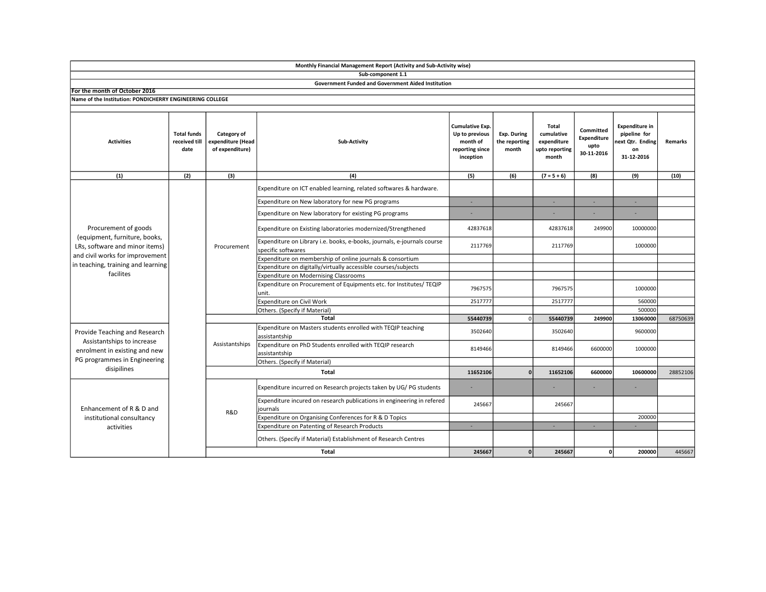|                                                                                                                              |                                             |                                                     | Sub-component 1.1                                                                             |                                                                               |                                       |                                                               |                                                |                                                                              |          |
|------------------------------------------------------------------------------------------------------------------------------|---------------------------------------------|-----------------------------------------------------|-----------------------------------------------------------------------------------------------|-------------------------------------------------------------------------------|---------------------------------------|---------------------------------------------------------------|------------------------------------------------|------------------------------------------------------------------------------|----------|
|                                                                                                                              |                                             |                                                     | <b>Government Funded and Government Aided Institution</b>                                     |                                                                               |                                       |                                                               |                                                |                                                                              |          |
| For the month of October 2016                                                                                                |                                             |                                                     |                                                                                               |                                                                               |                                       |                                                               |                                                |                                                                              |          |
| Name of the Institution: PONDICHERRY ENGINEERING COLLEGE                                                                     |                                             |                                                     |                                                                                               |                                                                               |                                       |                                                               |                                                |                                                                              |          |
|                                                                                                                              |                                             |                                                     |                                                                                               |                                                                               |                                       |                                                               |                                                |                                                                              |          |
| <b>Activities</b>                                                                                                            | <b>Total funds</b><br>received till<br>date | Category of<br>expenditure (Head<br>of expenditure) | Sub-Activity                                                                                  | Cumulative Exp.<br>Up to previous<br>month of<br>reporting since<br>inception | Exp. During<br>the reporting<br>month | Total<br>cumulative<br>expenditure<br>upto reporting<br>month | Committed<br>Expenditure<br>upto<br>30-11-2016 | <b>Expenditure in</b><br>pipeline for<br>ext Qtr. Ending<br>on<br>31-12-2016 | Remarks  |
| (1)                                                                                                                          | (2)                                         | (3)                                                 | (4)                                                                                           | (5)                                                                           | (6)                                   | $(7 = 5 + 6)$                                                 | (8)                                            | (9)                                                                          | (10)     |
| Procurement of goods<br>(equipment, furniture, books,<br>LRs, software and minor items)                                      |                                             | Procurement                                         | Expenditure on ICT enabled learning, related softwares & hardware.                            |                                                                               |                                       |                                                               |                                                |                                                                              |          |
|                                                                                                                              |                                             |                                                     | Expenditure on New laboratory for new PG programs                                             | ٠                                                                             |                                       | $\sim$                                                        | ×.                                             | $\sim$                                                                       |          |
|                                                                                                                              |                                             |                                                     | Expenditure on New laboratory for existing PG programs                                        |                                                                               |                                       |                                                               |                                                |                                                                              |          |
|                                                                                                                              |                                             |                                                     | Expenditure on Existing laboratories modernized/Strengthened                                  | 42837618                                                                      |                                       | 42837618                                                      | 249900                                         | 10000000                                                                     |          |
|                                                                                                                              |                                             |                                                     | Expenditure on Library i.e. books, e-books, journals, e-journals course<br>specific softwares | 2117769                                                                       |                                       | 2117769                                                       |                                                | 1000000                                                                      |          |
| and civil works for improvement                                                                                              |                                             |                                                     | Expenditure on membership of online journals & consortium                                     |                                                                               |                                       |                                                               |                                                |                                                                              |          |
| in teaching, training and learning                                                                                           |                                             |                                                     | Expenditure on digitally/virtually accessible courses/subjects                                |                                                                               |                                       |                                                               |                                                |                                                                              |          |
| facilites                                                                                                                    |                                             |                                                     | <b>Expenditure on Modernising Classrooms</b>                                                  |                                                                               |                                       |                                                               |                                                |                                                                              |          |
|                                                                                                                              |                                             |                                                     | Expenditure on Procurement of Equipments etc. for Institutes/ TEQIP<br>unit.                  | 7967575                                                                       |                                       | 7967575                                                       |                                                | 1000000                                                                      |          |
|                                                                                                                              |                                             |                                                     | Expenditure on Civil Work                                                                     | 2517777                                                                       |                                       | 2517777                                                       |                                                | 560000                                                                       |          |
|                                                                                                                              |                                             |                                                     | Others. (Specify if Material)                                                                 |                                                                               |                                       |                                                               |                                                | 500000                                                                       |          |
|                                                                                                                              |                                             |                                                     | Total                                                                                         | 55440739                                                                      | $\mathbf{0}$                          | 55440739                                                      | 249900                                         | 13060000                                                                     | 68750639 |
| Provide Teaching and Research<br>Assistantships to increase<br>enrolment in existing and new<br>PG programmes in Engineering |                                             | Assistantships                                      | Expenditure on Masters students enrolled with TEQIP teaching<br>assistantship                 | 3502640                                                                       |                                       | 3502640                                                       |                                                | 9600000                                                                      |          |
|                                                                                                                              |                                             |                                                     | Expenditure on PhD Students enrolled with TEQIP research<br>assistantship                     | 8149466                                                                       |                                       | 8149466                                                       | 6600000                                        | 1000000                                                                      |          |
|                                                                                                                              |                                             |                                                     | Others. (Specify if Material)                                                                 |                                                                               |                                       |                                                               |                                                |                                                                              |          |
| disipilines                                                                                                                  |                                             |                                                     | <b>Total</b>                                                                                  | 11652106                                                                      | $\Omega$                              | 11652106                                                      | 6600000                                        | 10600000                                                                     | 28852106 |
| Enhancement of R & D and<br>institutional consultancy<br>activities                                                          |                                             |                                                     | Expenditure incurred on Research projects taken by UG/PG students                             | ٠                                                                             |                                       |                                                               |                                                |                                                                              |          |
|                                                                                                                              |                                             | R&D                                                 | Expenditure incured on research publications in engineering in refered<br>journals            | 245667                                                                        |                                       | 245667                                                        |                                                |                                                                              |          |
|                                                                                                                              |                                             |                                                     | Expenditure on Organising Conferences for R & D Topics                                        |                                                                               |                                       |                                                               |                                                | 200000                                                                       |          |
|                                                                                                                              |                                             |                                                     | Expenditure on Patenting of Research Products                                                 | ÷.                                                                            |                                       | $\sim$                                                        | п.                                             |                                                                              |          |
|                                                                                                                              |                                             |                                                     | Others. (Specify if Material) Establishment of Research Centres                               |                                                                               |                                       |                                                               |                                                |                                                                              |          |
|                                                                                                                              |                                             |                                                     | Total                                                                                         | 245667                                                                        | $\mathbf{0}$                          | 245667                                                        | οl                                             | 200000                                                                       | 445667   |

Monthly Financial Management Report (Activity and Sub-Activity wise)